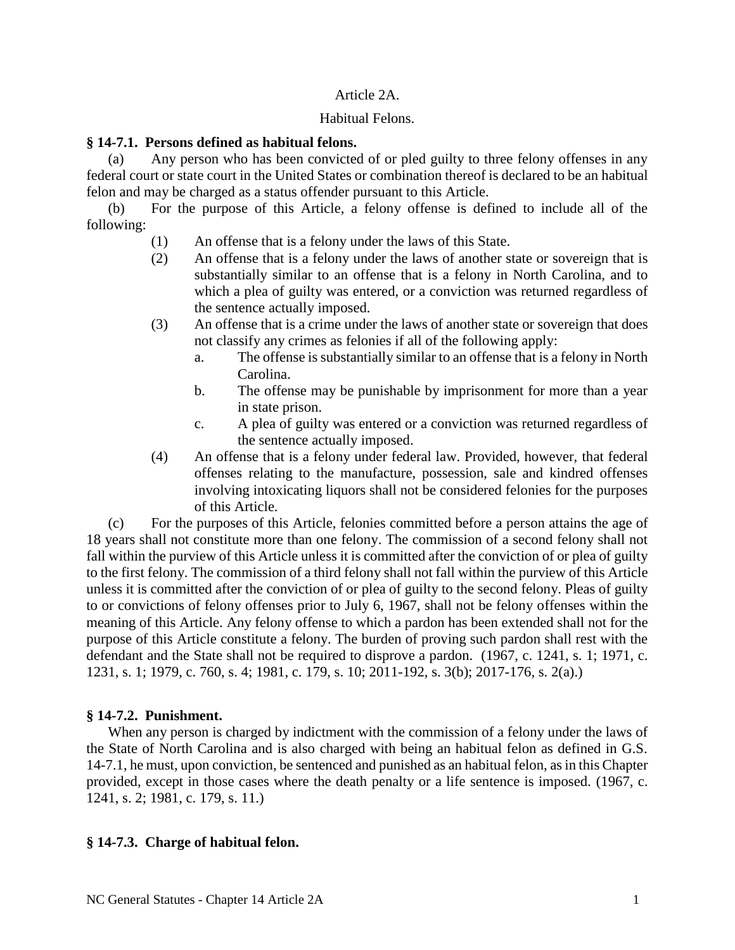## Article 2A.

## Habitual Felons.

## **§ 14-7.1. Persons defined as habitual felons.**

(a) Any person who has been convicted of or pled guilty to three felony offenses in any federal court or state court in the United States or combination thereof is declared to be an habitual felon and may be charged as a status offender pursuant to this Article.

(b) For the purpose of this Article, a felony offense is defined to include all of the following:

- (1) An offense that is a felony under the laws of this State.
- (2) An offense that is a felony under the laws of another state or sovereign that is substantially similar to an offense that is a felony in North Carolina, and to which a plea of guilty was entered, or a conviction was returned regardless of the sentence actually imposed.
- (3) An offense that is a crime under the laws of another state or sovereign that does not classify any crimes as felonies if all of the following apply:
	- a. The offense is substantially similar to an offense that is a felony in North Carolina.
	- b. The offense may be punishable by imprisonment for more than a year in state prison.
	- c. A plea of guilty was entered or a conviction was returned regardless of the sentence actually imposed.
- (4) An offense that is a felony under federal law. Provided, however, that federal offenses relating to the manufacture, possession, sale and kindred offenses involving intoxicating liquors shall not be considered felonies for the purposes of this Article.

(c) For the purposes of this Article, felonies committed before a person attains the age of 18 years shall not constitute more than one felony. The commission of a second felony shall not fall within the purview of this Article unless it is committed after the conviction of or plea of guilty to the first felony. The commission of a third felony shall not fall within the purview of this Article unless it is committed after the conviction of or plea of guilty to the second felony. Pleas of guilty to or convictions of felony offenses prior to July 6, 1967, shall not be felony offenses within the meaning of this Article. Any felony offense to which a pardon has been extended shall not for the purpose of this Article constitute a felony. The burden of proving such pardon shall rest with the defendant and the State shall not be required to disprove a pardon. (1967, c. 1241, s. 1; 1971, c. 1231, s. 1; 1979, c. 760, s. 4; 1981, c. 179, s. 10; 2011-192, s. 3(b); 2017-176, s. 2(a).)

# **§ 14-7.2. Punishment.**

When any person is charged by indictment with the commission of a felony under the laws of the State of North Carolina and is also charged with being an habitual felon as defined in G.S. 14-7.1, he must, upon conviction, be sentenced and punished as an habitual felon, as in this Chapter provided, except in those cases where the death penalty or a life sentence is imposed. (1967, c. 1241, s. 2; 1981, c. 179, s. 11.)

# **§ 14-7.3. Charge of habitual felon.**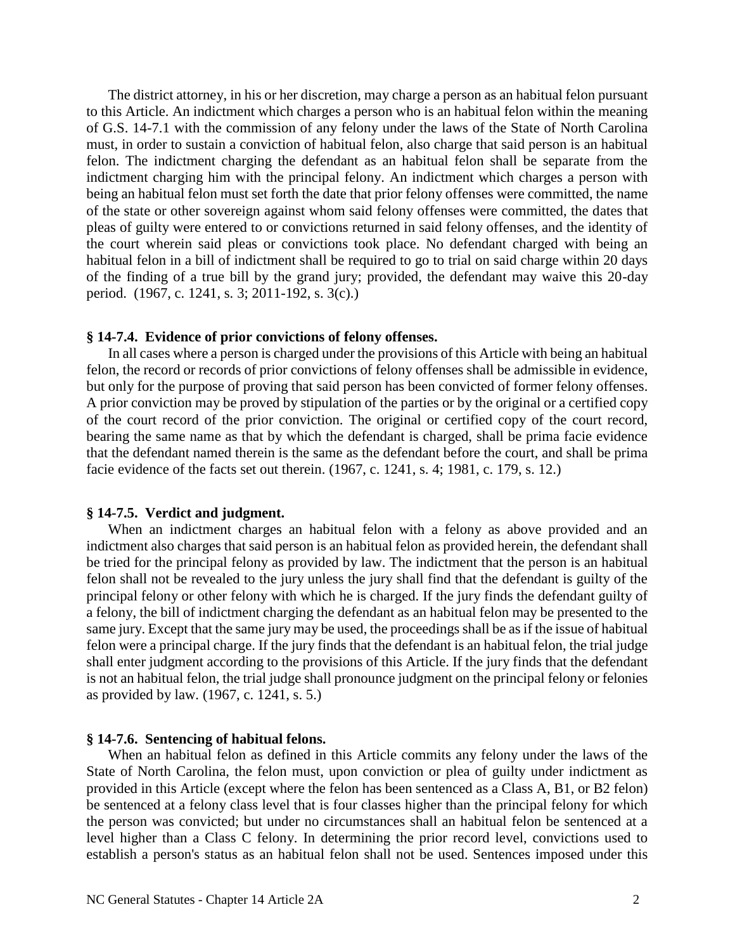The district attorney, in his or her discretion, may charge a person as an habitual felon pursuant to this Article. An indictment which charges a person who is an habitual felon within the meaning of G.S. 14-7.1 with the commission of any felony under the laws of the State of North Carolina must, in order to sustain a conviction of habitual felon, also charge that said person is an habitual felon. The indictment charging the defendant as an habitual felon shall be separate from the indictment charging him with the principal felony. An indictment which charges a person with being an habitual felon must set forth the date that prior felony offenses were committed, the name of the state or other sovereign against whom said felony offenses were committed, the dates that pleas of guilty were entered to or convictions returned in said felony offenses, and the identity of the court wherein said pleas or convictions took place. No defendant charged with being an habitual felon in a bill of indictment shall be required to go to trial on said charge within 20 days of the finding of a true bill by the grand jury; provided, the defendant may waive this 20-day period. (1967, c. 1241, s. 3; 2011-192, s. 3(c).)

#### **§ 14-7.4. Evidence of prior convictions of felony offenses.**

In all cases where a person is charged under the provisions of this Article with being an habitual felon, the record or records of prior convictions of felony offenses shall be admissible in evidence, but only for the purpose of proving that said person has been convicted of former felony offenses. A prior conviction may be proved by stipulation of the parties or by the original or a certified copy of the court record of the prior conviction. The original or certified copy of the court record, bearing the same name as that by which the defendant is charged, shall be prima facie evidence that the defendant named therein is the same as the defendant before the court, and shall be prima facie evidence of the facts set out therein. (1967, c. 1241, s. 4; 1981, c. 179, s. 12.)

#### **§ 14-7.5. Verdict and judgment.**

When an indictment charges an habitual felon with a felony as above provided and an indictment also charges that said person is an habitual felon as provided herein, the defendant shall be tried for the principal felony as provided by law. The indictment that the person is an habitual felon shall not be revealed to the jury unless the jury shall find that the defendant is guilty of the principal felony or other felony with which he is charged. If the jury finds the defendant guilty of a felony, the bill of indictment charging the defendant as an habitual felon may be presented to the same jury. Except that the same jury may be used, the proceedings shall be as if the issue of habitual felon were a principal charge. If the jury finds that the defendant is an habitual felon, the trial judge shall enter judgment according to the provisions of this Article. If the jury finds that the defendant is not an habitual felon, the trial judge shall pronounce judgment on the principal felony or felonies as provided by law. (1967, c. 1241, s. 5.)

### **§ 14-7.6. Sentencing of habitual felons.**

When an habitual felon as defined in this Article commits any felony under the laws of the State of North Carolina, the felon must, upon conviction or plea of guilty under indictment as provided in this Article (except where the felon has been sentenced as a Class A, B1, or B2 felon) be sentenced at a felony class level that is four classes higher than the principal felony for which the person was convicted; but under no circumstances shall an habitual felon be sentenced at a level higher than a Class C felony. In determining the prior record level, convictions used to establish a person's status as an habitual felon shall not be used. Sentences imposed under this